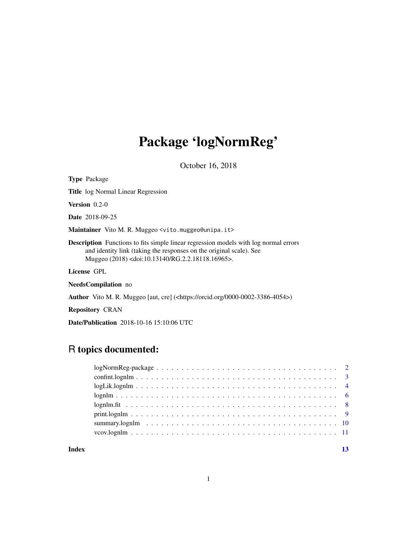# Package 'logNormReg'

October 16, 2018

<span id="page-0-0"></span>

| <b>Type Package</b>                                                                                                                                                                                                                      |
|------------------------------------------------------------------------------------------------------------------------------------------------------------------------------------------------------------------------------------------|
| <b>Title</b> log Normal Linear Regression                                                                                                                                                                                                |
| <b>Version</b> $0.2-0$                                                                                                                                                                                                                   |
| <b>Date</b> 2018-09-25                                                                                                                                                                                                                   |
| <b>Maintainer</b> Vito M. R. Muggeo <vito.muggeo@unipa.it></vito.muggeo@unipa.it>                                                                                                                                                        |
| <b>Description</b> Functions to fits simple linear regression models with log normal errors<br>and identity link (taking the responses on the original scale). See<br>Muggeo (2018) <doi:10.13140 rg.2.2.18118.16965="">.</doi:10.13140> |
| License GPL                                                                                                                                                                                                                              |
| <b>NeedsCompilation</b> no                                                                                                                                                                                                               |
| <b>Author</b> Vito M. R. Muggeo [aut, cre] ( <https: 0000-0002-3386-4054="" orcid.org="">)</https:>                                                                                                                                      |

Repository CRAN

Date/Publication 2018-10-16 15:10:06 UTC

# R topics documented:

#### **Index** [13](#page-12-0)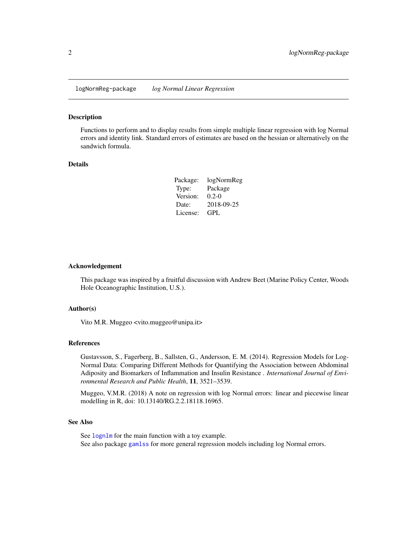<span id="page-1-0"></span>logNormReg-package *log Normal Linear Regression*

#### Description

Functions to perform and to display results from simple multiple linear regression with log Normal errors and identity link. Standard errors of estimates are based on the hessian or alternatively on the sandwich formula.

#### Details

| Package: | logNormReg |
|----------|------------|
| Type:    | Package    |
| Version: | $0.2 - 0$  |
| Date:    | 2018-09-25 |
| License: | GPL.       |

#### Acknowledgement

This package was inspired by a fruitful discussion with Andrew Beet (Marine Policy Center, Woods Hole Oceanographic Institution, U.S.).

#### Author(s)

Vito M.R. Muggeo <vito.muggeo@unipa.it>

#### References

Gustavsson, S., Fagerberg, B., Sallsten, G., Andersson, E. M. (2014). Regression Models for Log-Normal Data: Comparing Different Methods for Quantifying the Association between Abdominal Adiposity and Biomarkers of Inflammation and Insulin Resistance . *International Journal of Environmental Research and Public Health*, 11, 3521–3539.

Muggeo, V.M.R. (2018) A note on regression with log Normal errors: linear and piecewise linear modelling in R, doi: 10.13140/RG.2.2.18118.16965.

# See Also

See [lognlm](#page-5-1) for the main function with a toy example. See also package [gamlss](#page-0-0) for more general regression models including log Normal errors.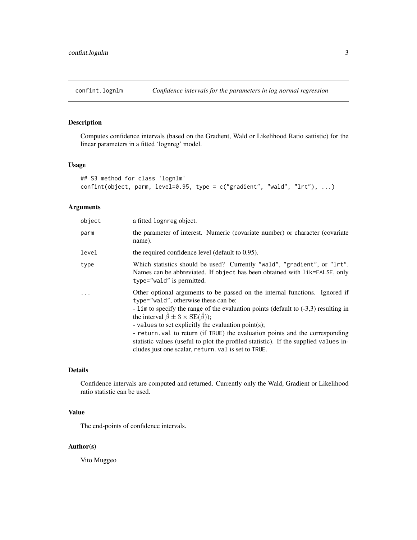<span id="page-2-0"></span>

# Description

Computes confidence intervals (based on the Gradient, Wald or Likelihood Ratio sattistic) for the linear parameters in a fitted 'lognreg' model.

# Usage

```
## S3 method for class 'lognlm'
confint(object, parm, level=0.95, type = c("gradient", "wald", "lrt"), ...)
```
# Arguments

| object | a fitted lognreg object.                                                                                                                                                                                                                                                                                                                                                                                                                                                                                                                                                     |
|--------|------------------------------------------------------------------------------------------------------------------------------------------------------------------------------------------------------------------------------------------------------------------------------------------------------------------------------------------------------------------------------------------------------------------------------------------------------------------------------------------------------------------------------------------------------------------------------|
| parm   | the parameter of interest. Numeric (covariate number) or character (covariate<br>name).                                                                                                                                                                                                                                                                                                                                                                                                                                                                                      |
| level  | the required confidence level (default to 0.95).                                                                                                                                                                                                                                                                                                                                                                                                                                                                                                                             |
| type   | Which statistics should be used? Currently "wald", "gradient", or "lrt".<br>Names can be abbreviated. If object has been obtained with lik=FALSE, only<br>type="wald" is permitted.                                                                                                                                                                                                                                                                                                                                                                                          |
| .      | Other optional arguments to be passed on the internal functions. Ignored if<br>type="wald", otherwise these can be:<br>- $\lim$ to specify the range of the evaluation points (default to $(-3,3)$ ) resulting in<br>the interval $\hat{\beta} \pm 3 \times \text{SE}(\hat{\beta})$ );<br>- values to set explicitly the evaluation point(s);<br>- return val to return (if TRUE) the evaluation points and the corresponding<br>statistic values (useful to plot the profiled statistic). If the supplied values in-<br>cludes just one scalar, return, val is set to TRUE. |

#### Details

Confidence intervals are computed and returned. Currently only the Wald, Gradient or Likelihood ratio statistic can be used.

#### Value

The end-points of confidence intervals.

# Author(s)

Vito Muggeo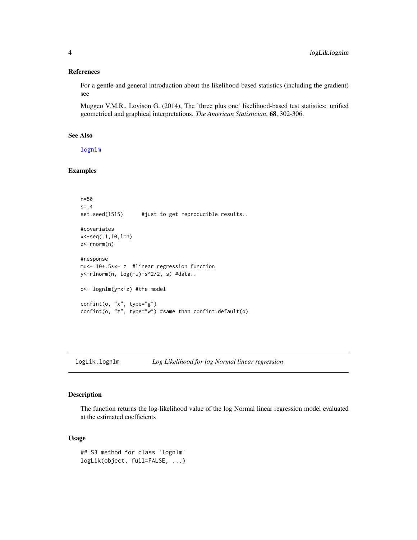#### <span id="page-3-0"></span>References

For a gentle and general introduction about the likelihood-based statistics (including the gradient) see

Muggeo V.M.R., Lovison G. (2014), The 'three plus one' likelihood-based test statistics: unified geometrical and graphical interpretations. *The American Statistician*, 68, 302-306.

# See Also

[lognlm](#page-5-1)

### Examples

```
n=50
s=.4
set.seed(1515) #just to get reproducible results..
#covariates
x<-seq(.1,10,l=n)
z<-rnorm(n)
#response
mu<- 10+.5*x- z #linear regression function
y<-rlnorm(n, log(mu)-s^2/2, s) #data..
o<- lognlm(y~x+z) #the model
confint(o, "x", type="g")
confint(o, "z", type="w") #same than confint.default(o)
```
# logLik.lognlm *Log Likelihood for log Normal linear regression*

# Description

The function returns the log-likelihood value of the log Normal linear regression model evaluated at the estimated coefficients

#### Usage

```
## S3 method for class 'lognlm'
logLik(object, full=FALSE, ...)
```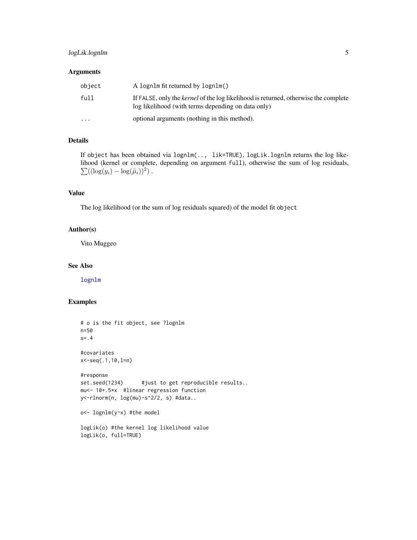# <span id="page-4-0"></span>logLik.lognlm 5

#### Arguments

| object                  | A lognlm fit returned by lognlm()                                                                                                                |
|-------------------------|--------------------------------------------------------------------------------------------------------------------------------------------------|
| full                    | If FALSE, only the <i>kernel</i> of the log likelihood is returned, otherwise the complete<br>log likelihood (with terms depending on data only) |
| $\cdot$ $\cdot$ $\cdot$ | optional arguments (nothing in this method).                                                                                                     |

#### Details

If object has been obtained via lognlm(.., lik=TRUE), logLik.lognlm returns the log like- $\sum((\log(y_i)-\log(\hat{\mu}_i))^2)$ . lihood (kernel or complete, depending on argument full), otherwise the sum of log residuals,

# Value

The log likelihood (or the sum of log residuals squared) of the model fit object

### Author(s)

Vito Muggeo

#### See Also

[lognlm](#page-5-1)

#### Examples

```
# o is the fit object, see ?lognlm
n=50
s=.4
#covariates
x<-seq(.1,10,l=n)
#response
set.seed(1234) #just to get reproducible results..
mu<- 10+.5*x #linear regression function
y<-rlnorm(n, log(mu)-s^2/2, s) #data..
o<- lognlm(y~x) #the model
```
logLik(o) #the kernel log likelihood value logLik(o, full=TRUE)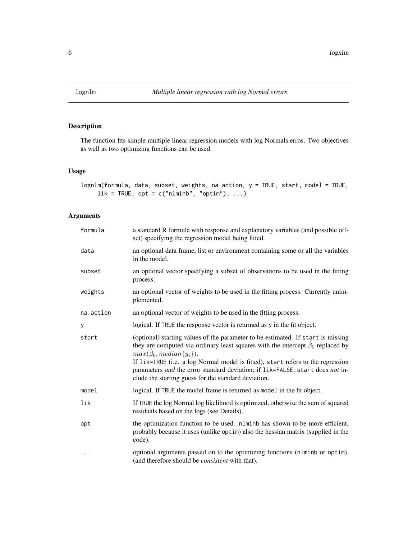<span id="page-5-1"></span><span id="page-5-0"></span>

# Description

The function fits simple multiple linear regression models with log Normals erros. Two objectives as well as two optimizing functions can be used.

# Usage

```
lognlm(formula, data, subset, weights, na.action, y = TRUE, start, model = TRUE,
      \text{lik} = \text{TRUE}, \text{ opt} = \text{c("nlminb", "optim"), ...}
```
# Arguments

| formula   | a standard R formula with response and explanatory variables (and possible off-<br>set) specifying the regression model being fitted.                                                                                                                                                                                                                                                                                                         |
|-----------|-----------------------------------------------------------------------------------------------------------------------------------------------------------------------------------------------------------------------------------------------------------------------------------------------------------------------------------------------------------------------------------------------------------------------------------------------|
| data      | an optional data frame, list or environment containing some or all the variables<br>in the model.                                                                                                                                                                                                                                                                                                                                             |
| subset    | an optional vector specifying a subset of observations to be used in the fitting<br>process.                                                                                                                                                                                                                                                                                                                                                  |
| weights   | an optional vector of weights to be used in the fitting process. Currently unim-<br>plemented.                                                                                                                                                                                                                                                                                                                                                |
| na.action | an optional vector of weights to be used in the fitting process.                                                                                                                                                                                                                                                                                                                                                                              |
| У         | logical. If TRUE the response vector is returned as y in the fit object.                                                                                                                                                                                                                                                                                                                                                                      |
| start     | (optional) starting values of the parameter to be estimated. If start is missing<br>they are computed via ordinary least squares with the intercept $\hat{\beta}_0$ replaced by<br>$max(\beta_0, median\{y_i\}).$<br>If lik=TRUE (i.e. a log Normal model is fitted), start refers to the regression<br>parameters and the error standard deviation; if lik=FALSE, start does not in-<br>clude the starting guess for the standard deviation. |
| model     | logical. If TRUE the model frame is returned as model in the fit object.                                                                                                                                                                                                                                                                                                                                                                      |
| lik       | If TRUE the log Normal log likelihood is optimized, otherwise the sum of squared<br>residuals based on the logs (see Details).                                                                                                                                                                                                                                                                                                                |
| opt       | the optimization function to be used. nlminb has shown to be more efficient,<br>probably because it uses (unlike optim) also the hessian matrix (supplied in the<br>code).                                                                                                                                                                                                                                                                    |
| $\cdots$  | optional arguments passed on to the optimizing functions (nlminb or optim),<br>(and therefore should be <i>consistent</i> with that).                                                                                                                                                                                                                                                                                                         |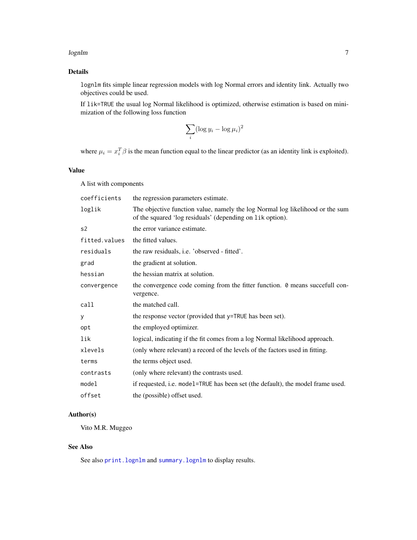#### <span id="page-6-0"></span>lognlm  $\sim$  7

# Details

lognlm fits simple linear regression models with log Normal errors and identity link. Actually two objectives could be used.

If lik=TRUE the usual log Normal likelihood is optimized, otherwise estimation is based on minimization of the following loss function

$$
\sum_i (\log y_i - \log \mu_i)^2
$$

where  $\mu_i = x_i^T \beta$  is the mean function equal to the linear predictor (as an identity link is exploited).

# Value

A list with components

| coefficients   | the regression parameters estimate.                                                                                                        |
|----------------|--------------------------------------------------------------------------------------------------------------------------------------------|
| loglik         | The objective function value, namely the log Normal log likelihood or the sum<br>of the squared 'log residuals' (depending on lik option). |
| s <sub>2</sub> | the error variance estimate.                                                                                                               |
| fitted.values  | the fitted values.                                                                                                                         |
| residuals      | the raw residuals, <i>i.e.</i> 'observed - fitted'.                                                                                        |
| grad           | the gradient at solution.                                                                                                                  |
| hessian        | the hessian matrix at solution.                                                                                                            |
| convergence    | the convergence code coming from the fitter function. 0 means succefull con-<br>vergence.                                                  |
| call           | the matched call.                                                                                                                          |
| У              | the response vector (provided that y=TRUE has been set).                                                                                   |
| opt            | the employed optimizer.                                                                                                                    |
| lik            | logical, indicating if the fit comes from a log Normal likelihood approach.                                                                |
| xlevels        | (only where relevant) a record of the levels of the factors used in fitting.                                                               |
| terms          | the terms object used.                                                                                                                     |
| contrasts      | (only where relevant) the contrasts used.                                                                                                  |
| model          | if requested, i.e. model=TRUE has been set (the default), the model frame used.                                                            |
| offset         | the (possible) offset used.                                                                                                                |

# Author(s)

Vito M.R. Muggeo

# See Also

See also [print.lognlm](#page-8-1) and [summary.lognlm](#page-9-1) to display results.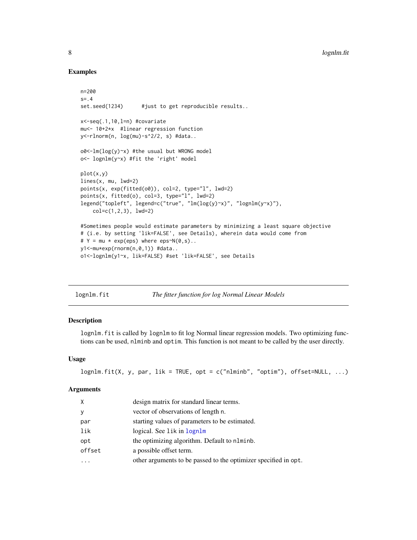# Examples

```
n=200
s = .4set.seed(1234) #just to get reproducible results..
x<-seq(.1,10,l=n) #covariate
mu<- 10+2*x #linear regression function
y<-rlnorm(n, log(mu)-s^2/2, s) #data..
o0<-lm(log(y)~x) #the usual but WRONG model
o<- lognlm(y~x) #fit the 'right' model
plot(x,y)
lines(x, mu, lwd=2)
points(x, exp(fitted(o0)), col=2, type="l", lwd=2)
points(x, fitted(o), col=3, type="l", lwd=2)
legend("topleft", legend=c("true", "lm(log(y)~x)", "lognlm(y~x)"),
    col=c(1,2,3), lwd=2)
#Sometimes people would estimate parameters by minimizing a least square objective
# (i.e. by setting 'lik=FALSE', see Details), wherein data would come from
# Y = mu * exp(ep) where eps~N(\emptyset, s).
y1<-mu*exp(rnorm(n,0,1)) #data..
o1<-lognlm(y1~x, lik=FALSE) #set 'lik=FALSE', see Details
```

| lognlm.fit | The fitter function for log Normal Linear Models |  |  |  |
|------------|--------------------------------------------------|--|--|--|
|------------|--------------------------------------------------|--|--|--|

#### Description

lognlm.fit is called by lognlm to fit log Normal linear regression models. Two optimizing functions can be used, nlminb and optim. This function is not meant to be called by the user directly.

#### Usage

```
lognlm.fit(X, y, par, lik = TRUE, opt = c("nlminb", "optim"), offset=NULL, ...)
```
#### **Arguments**

| $\times$ | design matrix for standard linear terms.                        |
|----------|-----------------------------------------------------------------|
| y        | vector of observations of length n.                             |
| par      | starting values of parameters to be estimated.                  |
| lik      | logical. See lik in lognlm                                      |
| opt      | the optimizing algorithm. Default to nlminb.                    |
| offset   | a possible offset term.                                         |
|          | other arguments to be passed to the optimizer specified in opt. |

<span id="page-7-0"></span>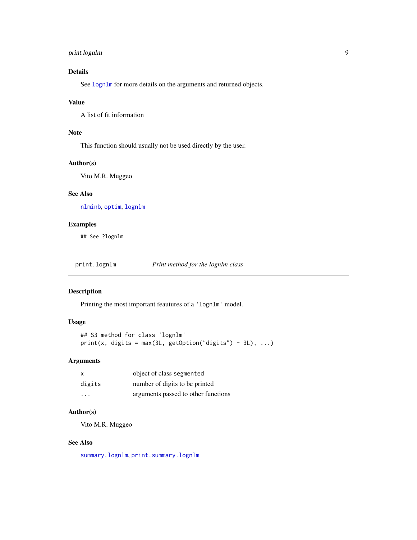# <span id="page-8-0"></span>print.lognlm 9

# Details

See [lognlm](#page-5-1) for more details on the arguments and returned objects.

# Value

A list of fit information

# Note

This function should usually not be used directly by the user.

#### Author(s)

Vito M.R. Muggeo

# See Also

[nlminb](#page-0-0), [optim](#page-0-0), [lognlm](#page-5-1)

# Examples

## See ?lognlm

<span id="page-8-1"></span>print.lognlm *Print method for the lognlm class*

#### Description

Printing the most important feautures of a 'lognlm' model.

#### Usage

```
## S3 method for class 'lognlm'
print(x, digits = max(3L, getOption("digits") - 3L), ...)
```
#### Arguments

| $\times$                | object of class segmented           |
|-------------------------|-------------------------------------|
| digits                  | number of digits to be printed      |
| $\cdot$ $\cdot$ $\cdot$ | arguments passed to other functions |

# Author(s)

Vito M.R. Muggeo

# See Also

[summary.lognlm](#page-9-1), [print.summary.lognlm](#page-9-2)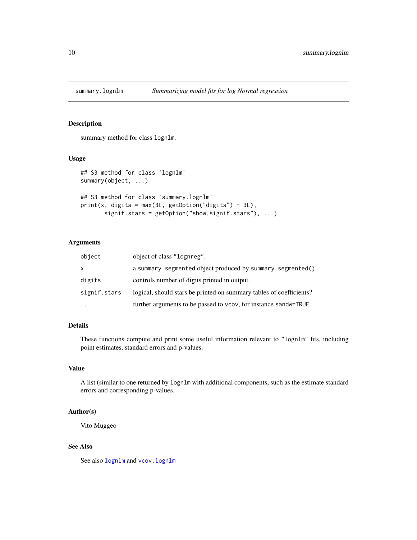<span id="page-9-1"></span><span id="page-9-0"></span>

# <span id="page-9-2"></span>Description

summary method for class lognlm.

#### Usage

```
## S3 method for class 'lognlm'
summary(object, ...)
## S3 method for class 'summary.lognlm'
print(x, digits = max(3L, getOption("digits") - 3L),signif.stars = getOption("show.signif.stars"), ...)
```
#### Arguments

| object       | object of class "lognreg".                                          |
|--------------|---------------------------------------------------------------------|
| X            | a summary. segmented object produced by summary. segmented().       |
| digits       | controls number of digits printed in output.                        |
| signif.stars | logical, should stars be printed on summary tables of coefficients? |
|              | further arguments to be passed to vcov, for instance sandw=TRUE.    |

# Details

These functions compute and print some useful information relevant to "lognlm" fits, including point estimates, standard errors and p-values.

#### Value

A list (similar to one returned by lognlm with additional components, such as the estimate standard errors and corresponding p-values.

# Author(s)

Vito Muggeo

# See Also

See also [lognlm](#page-5-1) and vcov. lognlm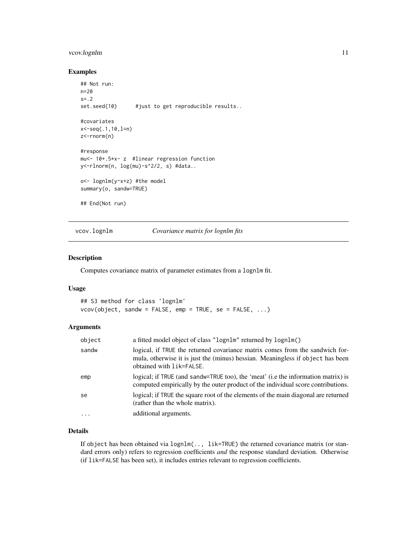# <span id="page-10-0"></span>vcov.lognlm 11

#### Examples

```
## Not run:
n=20
s = .2set.seed(10) #just to get reproducible results..
#covariates
x<-seq(.1,10,l=n)
z<-rnorm(n)
#response
mu<- 10+.5*x- z #linear regression function
y<-rlnorm(n, log(mu)-s^2/2, s) #data..
o<- lognlm(y~x+z) #the model
summary(o, sandw=TRUE)
## End(Not run)
```
#### <span id="page-10-1"></span>vcov.lognlm *Covariance matrix for lognlm fits*

# Description

Computes covariance matrix of parameter estimates from a lognlm fit.

# Usage

```
## S3 method for class 'lognlm'
vcov(object, sandw = FALSE, emp = TRUE, se = FALSE, ...)
```
#### Arguments

| object  | a fitted model object of class "lognlm" returned by lognlm()                                                                                                                               |
|---------|--------------------------------------------------------------------------------------------------------------------------------------------------------------------------------------------|
| sandw   | logical, if TRUE the returned covariance matrix comes from the sandwich for-<br>mula, otherwise it is just the (minus) hessian. Meaningless if object has been<br>obtained with lik=FALSE. |
| emp     | logical; if TRUE (and sandw=TRUE too), the 'meat' (i.e the information matrix) is<br>computed empirically by the outer product of the individual score contributions.                      |
| se      | logical; if TRUE the square root of the elements of the main diagonal are returned<br>(rather than the whole matrix).                                                                      |
| $\cdot$ | additional arguments.                                                                                                                                                                      |

# Details

If object has been obtained via lognlm(.., lik=TRUE) the returned covariance matrix (or standard errors only) refers to regression coefficients *and* the response standard deviation. Otherwise (if lik=FALSE has been set), it includes entries relevant to regression coefficients.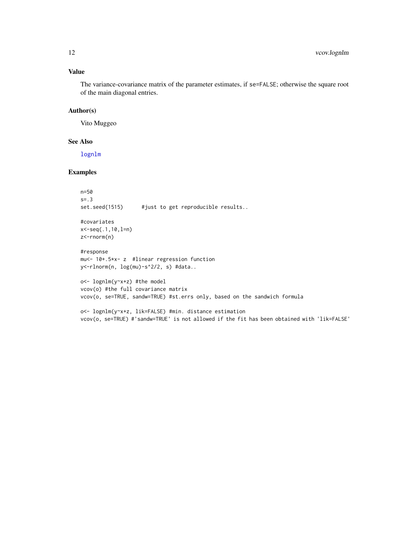# <span id="page-11-0"></span>Value

The variance-covariance matrix of the parameter estimates, if se=FALSE; otherwise the square root of the main diagonal entries.

# Author(s)

Vito Muggeo

### See Also

[lognlm](#page-5-1)

# Examples

n=50 s=.3 set.seed(1515) #just to get reproducible results..

#covariates x<-seq(.1,10,l=n) z<-rnorm(n)

#response mu<- 10+.5\*x- z #linear regression function y<-rlnorm(n, log(mu)-s^2/2, s) #data..

o<- lognlm(y~x+z) #the model vcov(o) #the full covariance matrix vcov(o, se=TRUE, sandw=TRUE) #st.errs only, based on the sandwich formula

o<- lognlm(y~x+z, lik=FALSE) #min. distance estimation vcov(o, se=TRUE) #'sandw=TRUE' is not allowed if the fit has been obtained with 'lik=FALSE'